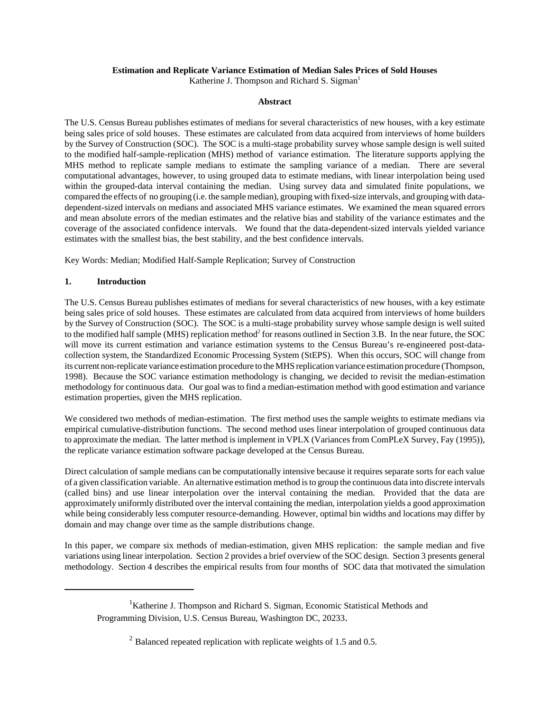## **Estimation and Replicate Variance Estimation of Median Sales Prices of Sold Houses**

Katherine J. Thompson and Richard S. Sigman<sup>1</sup>

## **Abstract**

The U.S. Census Bureau publishes estimates of medians for several characteristics of new houses, with a key estimate being sales price of sold houses. These estimates are calculated from data acquired from interviews of home builders by the Survey of Construction (SOC). The SOC is a multi-stage probability survey whose sample design is well suited to the modified half-sample-replication (MHS) method of variance estimation. The literature supports applying the MHS method to replicate sample medians to estimate the sampling variance of a median. There are several computational advantages, however, to using grouped data to estimate medians, with linear interpolation being used within the grouped-data interval containing the median. Using survey data and simulated finite populations, we compared the effects of no grouping (i.e. the sample median), grouping with fixed-size intervals, and grouping with datadependent-sized intervals on medians and associated MHS variance estimates. We examined the mean squared errors and mean absolute errors of the median estimates and the relative bias and stability of the variance estimates and the coverage of the associated confidence intervals. We found that the data-dependent-sized intervals yielded variance estimates with the smallest bias, the best stability, and the best confidence intervals.

Key Words: Median; Modified Half-Sample Replication; Survey of Construction

# **1. Introduction**

The U.S. Census Bureau publishes estimates of medians for several characteristics of new houses, with a key estimate being sales price of sold houses. These estimates are calculated from data acquired from interviews of home builders by the Survey of Construction (SOC). The SOC is a multi-stage probability survey whose sample design is well suited to the modified half sample (MHS) replication method<sup>2</sup> for reasons outlined in Section 3.B. In the near future, the SOC will move its current estimation and variance estimation systems to the Census Bureau's re-engineered post-datacollection system, the Standardized Economic Processing System (StEPS). When this occurs, SOC will change from its current non-replicate variance estimation procedure to the MHS replication variance estimation procedure (Thompson, 1998). Because the SOC variance estimation methodology is changing, we decided to revisit the median-estimation methodology for continuous data. Our goal was to find a median-estimation method with good estimation and variance estimation properties, given the MHS replication.

We considered two methods of median-estimation. The first method uses the sample weights to estimate medians via empirical cumulative-distribution functions. The second method uses linear interpolation of grouped continuous data to approximate the median. The latter method is implement in VPLX (Variances from ComPLeX Survey, Fay (1995)), the replicate variance estimation software package developed at the Census Bureau.

Direct calculation of sample medians can be computationally intensive because it requires separate sorts for each value of a given classification variable. An alternative estimation method is to group the continuous data into discrete intervals (called bins) and use linear interpolation over the interval containing the median. Provided that the data are approximately uniformly distributed over the interval containing the median, interpolation yields a good approximation while being considerably less computer resource-demanding. However, optimal bin widths and locations may differ by domain and may change over time as the sample distributions change.

In this paper, we compare six methods of median-estimation, given MHS replication: the sample median and five variations using linear interpolation. Section 2 provides a brief overview of the SOC design. Section 3 presents general methodology. Section 4 describes the empirical results from four months of SOC data that motivated the simulation

<sup>&</sup>lt;sup>1</sup>Katherine J. Thompson and Richard S. Sigman, Economic Statistical Methods and Programming Division, U.S. Census Bureau, Washington DC, 20233.

 $2$  Balanced repeated replication with replicate weights of 1.5 and 0.5.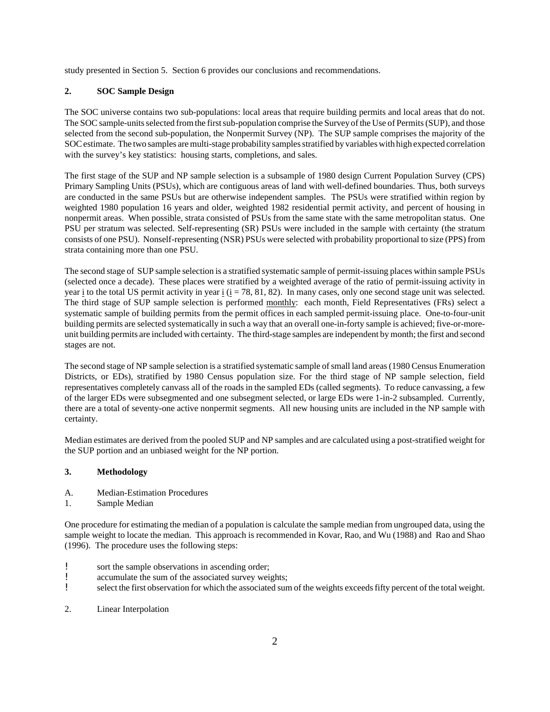study presented in Section 5. Section 6 provides our conclusions and recommendations.

# **2. SOC Sample Design**

The SOC universe contains two sub-populations: local areas that require building permits and local areas that do not. The SOC sample-units selected from the first sub-population comprise the Survey of the Use of Permits (SUP), and those selected from the second sub-population, the Nonpermit Survey (NP). The SUP sample comprises the majority of the SOCestimate. The two samples are multi-stage probability samples stratified by variables with high expected correlation with the survey's key statistics: housing starts, completions, and sales.

The first stage of the SUP and NP sample selection is a subsample of 1980 design Current Population Survey (CPS) Primary Sampling Units (PSUs), which are contiguous areas of land with well-defined boundaries. Thus, both surveys are conducted in the same PSUs but are otherwise independent samples. The PSUs were stratified within region by weighted 1980 population 16 years and older, weighted 1982 residential permit activity, and percent of housing in nonpermit areas. When possible, strata consisted of PSUs from the same state with the same metropolitan status. One PSU per stratum was selected. Self-representing (SR) PSUs were included in the sample with certainty (the stratum consists of one PSU). Nonself-representing (NSR) PSUs were selected with probability proportional to size (PPS) from strata containing more than one PSU.

The second stage of SUP sample selection is a stratified systematic sample of permit-issuing places within sample PSUs (selected once a decade). These places were stratified by a weighted average of the ratio of permit-issuing activity in year i to the total US permit activity in year i  $(i = 78, 81, 82)$ . In many cases, only one second stage unit was selected. The third stage of SUP sample selection is performed monthly: each month, Field Representatives (FRs) select a systematic sample of building permits from the permit offices in each sampled permit-issuing place. One-to-four-unit building permits are selected systematically in such a way that an overall one-in-forty sample is achieved; five-or-moreunit building permits are included with certainty. The third-stage samples are independent by month; the first and second stages are not.

The second stage of NP sample selection is a stratified systematic sample of small land areas (1980 Census Enumeration Districts, or EDs), stratified by 1980 Census population size. For the third stage of NP sample selection, field representatives completely canvass all of the roads in the sampled EDs (called segments). To reduce canvassing, a few of the larger EDs were subsegmented and one subsegment selected, or large EDs were 1-in-2 subsampled. Currently, there are a total of seventy-one active nonpermit segments. All new housing units are included in the NP sample with certainty.

Median estimates are derived from the pooled SUP and NP samples and are calculated using a post-stratified weight for the SUP portion and an unbiased weight for the NP portion.

# **3. Methodology**

- A. Median-Estimation Procedures
- 1. Sample Median

One procedure for estimating the median of a population is calculate the sample median from ungrouped data, using the sample weight to locate the median. This approach is recommended in Kovar, Rao, and Wu (1988) and Rao and Shao (1996). The procedure uses the following steps:

- ! sort the sample observations in ascending order;
- ! accumulate the sum of the associated survey weights;
- ! select the first observation for which the associated sum of the weights exceedsfifty percent of the total weight.
- 2. Linear Interpolation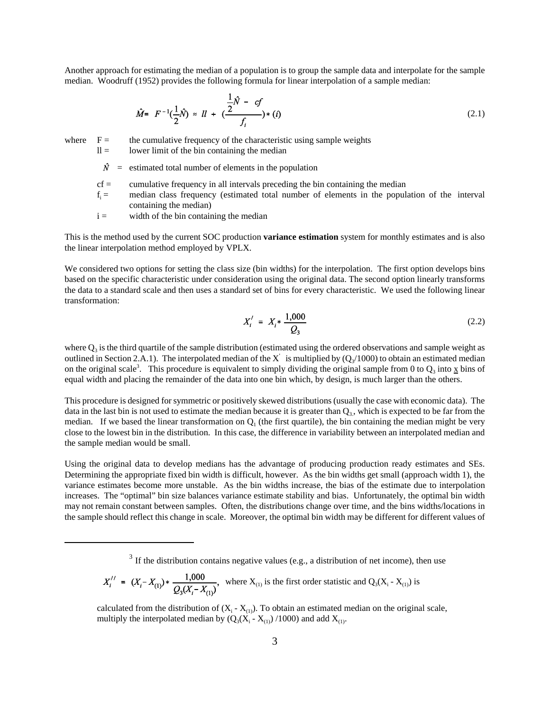Another approach for estimating the median of a population is to group the sample data and interpolate for the sample median. Woodruff (1952) provides the following formula for linear interpolation of a sample median:

$$
\hat{M} = F^{-1}(\frac{1}{2}\hat{N}) \approx II + (\frac{\frac{1}{2}\hat{N} - cf}{f_i}) * (i)
$$
\n(2.1)

where  $F =$  the cumulative frequency of the characteristic using sample weights

- $ll =$  lower limit of the bin containing the median
- $\hat{N}$  = estimated total number of elements in the population
- $cf =$  cumulative frequency in all intervals preceding the bin containing the median
- $f_i =$ median class frequency (estimated total number of elements in the population of the interval containing the median)
- $i =$  width of the bin containing the median

This is the method used by the current SOC production **variance estimation** system for monthly estimates and is also the linear interpolation method employed by VPLX.

We considered two options for setting the class size (bin widths) for the interpolation. The first option develops bins based on the specific characteristic under consideration using the original data. The second option linearly transforms the data to a standard scale and then uses a standard set of bins for every characteristic. We used the following linear transformation:

$$
X'_i = X_i \ast \frac{1,000}{Q_3} \tag{2.2}
$$

where  $Q_3$  is the third quartile of the sample distribution (estimated using the ordered observations and sample weight as outlined in Section 2.A.1). The interpolated median of the X is multiplied by  $(Q_3/1000)$  to obtain an estimated median on the original scale<sup>3</sup>. This procedure is equivalent to simply dividing the original sample from 0 to  $Q_3$  into  $\underline{x}$  bins of equal width and placing the remainder of the data into one bin which, by design, is much larger than the others.

This procedure is designed forsymmetric or positively skewed distributions(usually the case with economic data). The data in the last bin is not used to estimate the median because it is greater than  $Q_3$ , which is expected to be far from the median. If we based the linear transformation on  $Q_1$  (the first quartile), the bin containing the median might be very close to the lowest bin in the distribution. In this case, the difference in variability between an interpolated median and the sample median would be small.

Using the original data to develop medians has the advantage of producing production ready estimates and SEs. Determining the appropriate fixed bin width is difficult, however. As the bin widths get small (approach width 1), the variance estimates become more unstable. As the bin widths increase, the bias of the estimate due to interpolation increases. The "optimal" bin size balances variance estimate stability and bias. Unfortunately, the optimal bin width may not remain constant between samples. Often, the distributions change over time, and the bins widths/locations in the sample should reflect this change in scale. Moreover, the optimal bin width may be different for different values of

$$
X_i'' = (X_i - X_{(1)}) \ast \frac{1,000}{Q_3(X_i - X_{(1)})},
$$
 where  $X_{(1)}$  is the first order statistic and  $Q_3(X_i - X_{(1)})$  is

calculated from the distribution of  $(X_i - X_{(1)})$ . To obtain an estimated median on the original scale, multiply the interpolated median by  $(Q_3(X_i - X_{(1)})/1000)$  and add  $X_{(1)}$ .

 $3$  If the distribution contains negative values (e.g., a distribution of net income), then use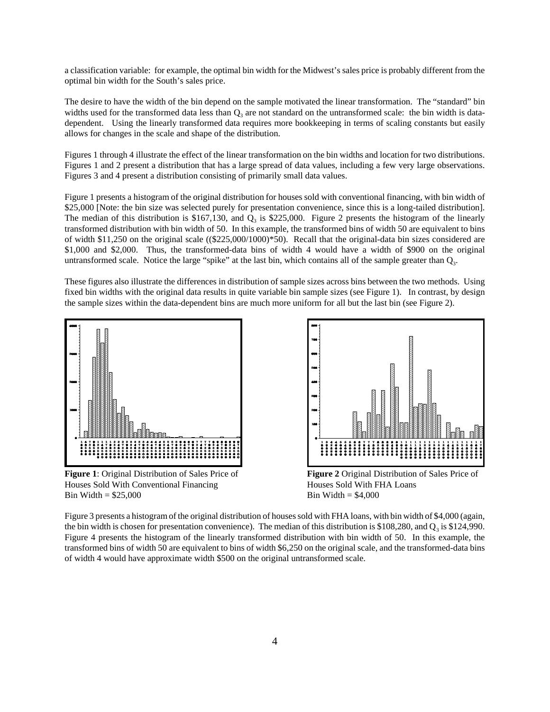a classification variable: for example, the optimal bin width for the Midwest's sales price is probably different from the optimal bin width for the South's sales price.

The desire to have the width of the bin depend on the sample motivated the linear transformation. The "standard" bin widths used for the transformed data less than  $Q_3$  are not standard on the untransformed scale: the bin width is datadependent. Using the linearly transformed data requires more bookkeeping in terms of scaling constants but easily allows for changes in the scale and shape of the distribution.

Figures 1 through 4 illustrate the effect of the linear transformation on the bin widths and location for two distributions. Figures 1 and 2 present a distribution that has a large spread of data values, including a few very large observations. Figures 3 and 4 present a distribution consisting of primarily small data values.

Figure 1 presents a histogram of the original distribution for houses sold with conventional financing, with bin width of \$25,000 [Note: the bin size was selected purely for presentation convenience, since this is a long-tailed distribution]. The median of this distribution is \$167,130, and  $Q_3$  is \$225,000. Figure 2 presents the histogram of the linearly transformed distribution with bin width of 50. In this example, the transformed bins of width 50 are equivalent to bins of width \$11,250 on the original scale ((\$225,000/1000)\*50). Recall that the original-data bin sizes considered are \$1,000 and \$2,000. Thus, the transformed-data bins of width 4 would have a width of \$900 on the original untransformed scale. Notice the large "spike" at the last bin, which contains all of the sample greater than  $Q_3$ .

These figures also illustrate the differences in distribution of sample sizes across bins between the two methods. Using fixed bin widths with the original data results in quite variable bin sample sizes (see Figure 1). In contrast, by design the sample sizes within the data-dependent bins are much more uniform for all but the last bin (see Figure 2).



**Figure 1**: Original Distribution of Sales Price of Houses Sold With Conventional Financing Bin Width  $=$  \$25,000



**Figure 2** Original Distribution of Sales Price of Houses Sold With FHA Loans Bin Width  $=$  \$4,000

Figure 3 presents a histogram of the original distribution of houses sold with FHA loans, with bin width of \$4,000 (again, the bin width is chosen for presentation convenience). The median of this distribution is \$108,280, and  $Q_3$  is \$124,990. Figure 4 presents the histogram of the linearly transformed distribution with bin width of 50. In this example, the transformed bins of width 50 are equivalent to bins of width \$6,250 on the original scale, and the transformed-data bins of width 4 would have approximate width \$500 on the original untransformed scale.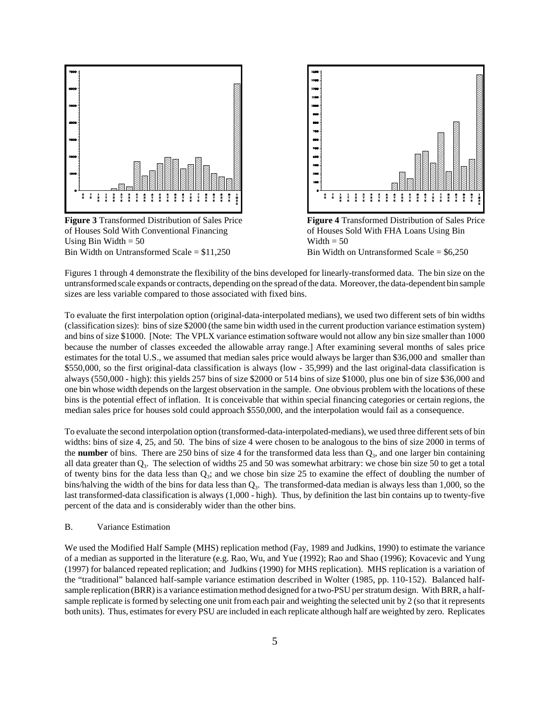

**Figure 3** Transformed Distribution of Sales Price of Houses Sold With Conventional Financing Using Bin Width  $= 50$ Bin Width on Untransformed Scale = \$11,250



**Figure 4** Transformed Distribution of Sales Price of Houses Sold With FHA Loans Using Bin Width  $= 50$ Bin Width on Untransformed Scale = \$6,250

Figures 1 through 4 demonstrate the flexibility of the bins developed for linearly-transformed data. The bin size on the untransformed scale expands or contracts, depending on the spread ofthe data. Moreover, the data-dependent bin sample sizes are less variable compared to those associated with fixed bins.

To evaluate the first interpolation option (original-data-interpolated medians), we used two different sets of bin widths (classification sizes): bins of size \$2000 (the same bin width used in the current production variance estimation system) and bins of size \$1000. [Note: The VPLX variance estimation software would not allow any bin size smaller than 1000 because the number of classes exceeded the allowable array range.] After examining several months of sales price estimates for the total U.S., we assumed that median sales price would always be larger than \$36,000 and smaller than \$550,000, so the first original-data classification is always (low - 35,999) and the last original-data classification is always (550,000 - high): this yields 257 bins of size \$2000 or 514 bins of size \$1000, plus one bin of size \$36,000 and one bin whose width depends on the largest observation in the sample. One obvious problem with the locations of these bins is the potential effect of inflation. It is conceivable that within special financing categories or certain regions, the median sales price for houses sold could approach \$550,000, and the interpolation would fail as a consequence.

To evaluate the second interpolation option (transformed-data-interpolated-medians), we used three different sets of bin widths: bins of size 4, 25, and 50. The bins of size 4 were chosen to be analogous to the bins of size 2000 in terms of the **number** of bins. There are 250 bins of size 4 for the transformed data less than Q<sub>3</sub>, and one larger bin containing all data greater than  $Q_3$ . The selection of widths 25 and 50 was somewhat arbitrary: we chose bin size 50 to get a total of twenty bins for the data less than  $Q_3$ ; and we chose bin size 25 to examine the effect of doubling the number of bins/halving the width of the bins for data less than  $Q_3$ . The transformed-data median is always less than 1,000, so the last transformed-data classification is always (1,000 - high). Thus, by definition the last bin contains up to twenty-five percent of the data and is considerably wider than the other bins.

## B. Variance Estimation

We used the Modified Half Sample (MHS) replication method (Fay, 1989 and Judkins, 1990) to estimate the variance of a median as supported in the literature (e.g. Rao, Wu, and Yue (1992); Rao and Shao (1996); Kovacevic and Yung (1997) for balanced repeated replication; and Judkins (1990) for MHS replication). MHS replication is a variation of the "traditional" balanced half-sample variance estimation described in Wolter (1985, pp. 110-152). Balanced halfsample replication (BRR) is a variance estimation method designed for a two-PSU per stratum design. With BRR, a halfsample replicate is formed by selecting one unit from each pair and weighting the selected unit by 2 (so that it represents both units). Thus, estimates for every PSU are included in each replicate although half are weighted by zero. Replicates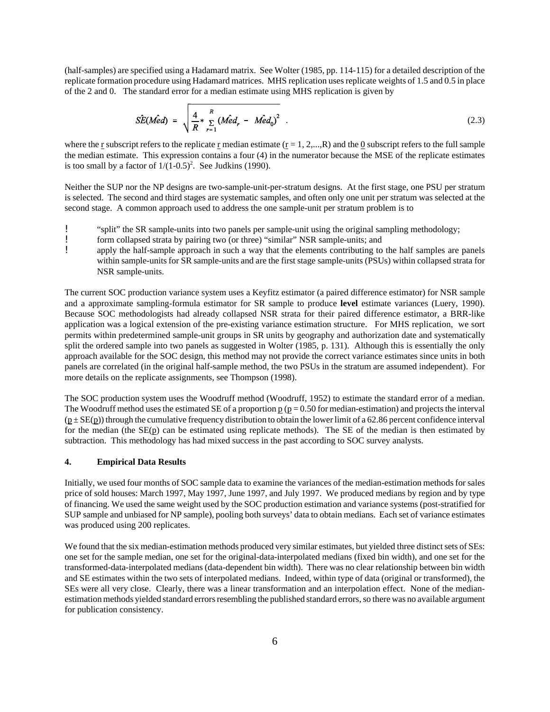(half-samples) are specified using a Hadamard matrix. See Wolter (1985, pp. 114-115) for a detailed description of the replicate formation procedure using Hadamard matrices. MHS replication uses replicate weights of 1.5 and 0.5 in place of the 2 and 0. The standard error for a median estimate using MHS replication is given by

$$
\hat{SE}(\hat{Med}) = \sqrt{\frac{4}{R} * \sum_{r=1}^{R} (M\hat{e}d_r - \hat{Med}_0)^2}
$$
 (2.3)

where the r subscript refers to the replicate r median estimate  $(r = 1, 2,...,R)$  and the 0 subscript refers to the full sample the median estimate. This expression contains a four (4) in the numerator because the MSE of the replicate estimates is too small by a factor of  $1/(1-0.5)^2$ . See Judkins (1990).

Neither the SUP nor the NP designs are two-sample-unit-per-stratum designs. At the first stage, one PSU per stratum is selected. The second and third stages are systematic samples, and often only one unit per stratum was selected at the second stage. A common approach used to address the one sample-unit per stratum problem is to

- ! "split" the SR sample-units into two panels per sample-unit using the original sampling methodology;
- **EXECUTE:** form collapsed strata by pairing two (or three) "similar" NSR sample-units; and apply the half-sample approach in such a way that the elements contributing to
- apply the half-sample approach in such a way that the elements contributing to the half samples are panels within sample-units for SR sample-units and are the first stage sample-units (PSUs) within collapsed strata for NSR sample-units.

The current SOC production variance system uses a Keyfitz estimator (a paired difference estimator) for NSR sample and a approximate sampling-formula estimator for SR sample to produce **level** estimate variances (Luery, 1990). Because SOC methodologists had already collapsed NSR strata for their paired difference estimator, a BRR-like application was a logical extension of the pre-existing variance estimation structure. For MHS replication, we sort permits within predetermined sample-unit groups in SR units by geography and authorization date and systematically split the ordered sample into two panels as suggested in Wolter (1985, p. 131). Although this is essentially the only approach available for the SOC design, this method may not provide the correct variance estimates since units in both panels are correlated (in the original half-sample method, the two PSUs in the stratum are assumed independent). For more details on the replicate assignments, see Thompson (1998).

The SOC production system uses the Woodruff method (Woodruff, 1952) to estimate the standard error of a median. The Woodruff method uses the estimated SE of a proportion  $p (p = 0.50$  for median-estimation) and projects the interval  $(p \pm SE(p))$  through the cumulative frequency distribution to obtain the lower limit of a 62.86 percent confidence interval for the median (the SE(p) can be estimated using replicate methods). The SE of the median is then estimated by subtraction. This methodology has had mixed success in the past according to SOC survey analysts.

## **4. Empirical Data Results**

Initially, we used four months of SOC sample data to examine the variances of the median-estimation methods for sales price of sold houses: March 1997, May 1997, June 1997, and July 1997. We produced medians by region and by type of financing. We used the same weight used by the SOC production estimation and variance systems (post-stratified for SUP sample and unbiased for NP sample), pooling both surveys' data to obtain medians. Each set of variance estimates was produced using 200 replicates.

We found that the six median-estimation methods produced very similar estimates, but yielded three distinct sets of SEs: one set for the sample median, one set for the original-data-interpolated medians (fixed bin width), and one set for the transformed-data-interpolated medians (data-dependent bin width). There was no clear relationship between bin width and SE estimates within the two sets of interpolated medians. Indeed, within type of data (original or transformed), the SEs were all very close. Clearly, there was a linear transformation and an interpolation effect. None of the medianestimation methods yielded standard errors resembling the published standard errors, so there was no available argument for publication consistency.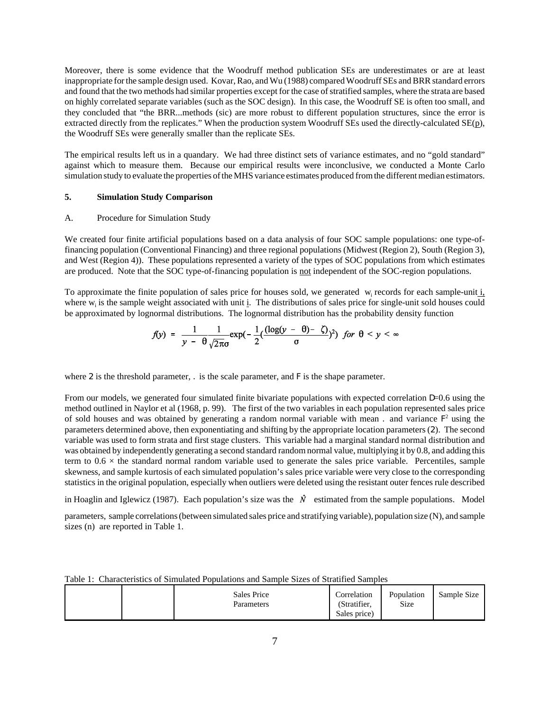Moreover, there is some evidence that the Woodruff method publication SEs are underestimates or are at least inappropriate forthe sample design used. Kovar, Rao, and Wu (1988) compared Woodruff SEs and BRR standard errors and found that the two methods had similar properties except for the case of stratified samples, where the strata are based on highly correlated separate variables (such as the SOC design). In this case, the Woodruff SE is often too small, and they concluded that "the BRR...methods (sic) are more robust to different population structures, since the error is extracted directly from the replicates." When the production system Woodruff SEs used the directly-calculated SE(p), the Woodruff SEs were generally smaller than the replicate SEs.

The empirical results left us in a quandary. We had three distinct sets of variance estimates, and no "gold standard" against which to measure them. Because our empirical results were inconclusive, we conducted a Monte Carlo simulation study to evaluate the properties of the MHS variance estimates produced from the different median estimators.

# **5. Simulation Study Comparison**

### A. Procedure for Simulation Study

We created four finite artificial populations based on a data analysis of four SOC sample populations: one type-offinancing population (Conventional Financing) and three regional populations (Midwest (Region 2), South (Region 3), and West (Region 4)). These populations represented a variety of the types of SOC populations from which estimates are produced. Note that the SOC type-of-financing population is not independent of the SOC-region populations.

To approximate the finite population of sales price for houses sold, we generated w<sub>i</sub> records for each sample-unit i. where  $w_i$  is the sample weight associated with unit  $\underline{i}$ . The distributions of sales price for single-unit sold houses could be approximated by lognormal distributions. The lognormal distribution has the probability density function

$$
f(y) = \frac{1}{y - \theta} \frac{1}{\sqrt{2\pi}\sigma} \exp\left(-\frac{1}{2} \left(\frac{(\log(y - \theta) - \zeta)}{\sigma}\right)^2\right) \text{ for } \theta < y < \infty
$$

where 2 is the threshold parameter, . is the scale parameter, and F is the shape parameter.

From our models, we generated four simulated finite bivariate populations with expected correlation D=0.6 using the method outlined in Naylor et al (1968, p. 99). The first of the two variables in each population represented sales price of sold houses and was obtained by generating a random normal variable with mean. and variance  $F^2$  using the parameters determined above, then exponentiating and shifting by the appropriate location parameters(2). The second variable was used to form strata and first stage clusters. This variable had a marginal standard normal distribution and was obtained by independently generating a second standard random normal value, multiplying it by 0.8, and adding this term to  $0.6 \times$  the standard normal random variable used to generate the sales price variable. Percentiles, sample skewness, and sample kurtosis of each simulated population's sales price variable were very close to the corresponding statistics in the original population, especially when outliers were deleted using the resistant outer fences rule described

in Hoaglin and Iglewicz (1987). Each population's size was the  $\hat{N}$  estimated from the sample populations. Model

parameters, sample correlations (between simulated sales price and stratifying variable), population size (N), and sample sizes (n) are reported in Table 1.

|  | Table 1: Characteristics of Simulated Populations and Sample Sizes of Stratified Samples |  |
|--|------------------------------------------------------------------------------------------|--|
|  |                                                                                          |  |

| <b>Sales Price</b><br>Parameters | Correlation<br>(Stratifier, | Population<br>Size | Sample Size |
|----------------------------------|-----------------------------|--------------------|-------------|
|                                  | Sales price)                |                    |             |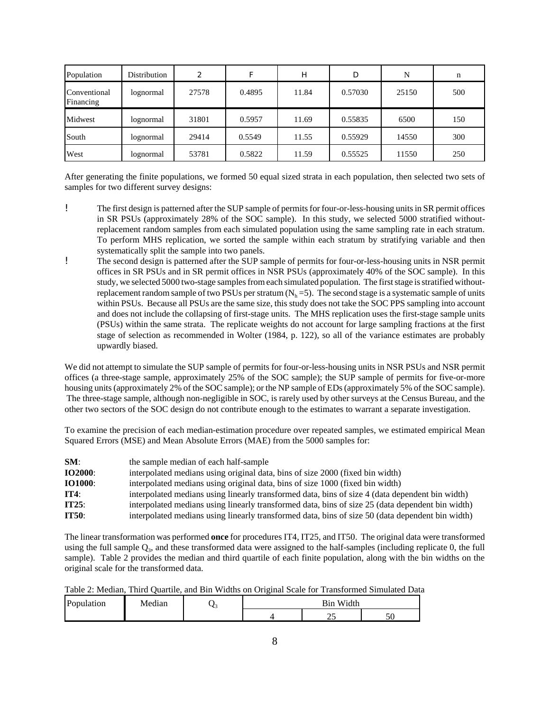| Population                | Distribution | 2     |        | Н     | D       | N     | n   |
|---------------------------|--------------|-------|--------|-------|---------|-------|-----|
| Conventional<br>Financing | lognormal    | 27578 | 0.4895 | 11.84 | 0.57030 | 25150 | 500 |
| Midwest                   | lognormal    | 31801 | 0.5957 | 11.69 | 0.55835 | 6500  | 150 |
| South                     | lognormal    | 29414 | 0.5549 | 11.55 | 0.55929 | 14550 | 300 |
| West                      | lognormal    | 53781 | 0.5822 | 11.59 | 0.55525 | 11550 | 250 |

After generating the finite populations, we formed 50 equal sized strata in each population, then selected two sets of samples for two different survey designs:

- ! The first design is patterned after the SUP sample of permitsfor four-or-less-housing unitsin SR permit offices in SR PSUs (approximately 28% of the SOC sample). In this study, we selected 5000 stratified withoutreplacement random samples from each simulated population using the same sampling rate in each stratum. To perform MHS replication, we sorted the sample within each stratum by stratifying variable and then systematically split the sample into two panels.
- ! The second design is patterned after the SUP sample of permits for four-or-less-housing units in NSR permit offices in SR PSUs and in SR permit offices in NSR PSUs (approximately 40% of the SOC sample). In this study, we selected 5000 two-stage samples from each simulated population. The first stage is stratified withoutreplacement random sample of two PSUs per stratum  $(N_h = 5)$ . The second stage is a systematic sample of units within PSUs. Because all PSUs are the same size, this study does not take the SOC PPS sampling into account and does not include the collapsing of first-stage units. The MHS replication uses the first-stage sample units (PSUs) within the same strata. The replicate weights do not account for large sampling fractions at the first stage of selection as recommended in Wolter (1984, p. 122), so all of the variance estimates are probably upwardly biased.

We did not attempt to simulate the SUP sample of permits for four-or-less-housing units in NSR PSUs and NSR permit offices (a three-stage sample, approximately 25% of the SOC sample); the SUP sample of permits for five-or-more housing units(approximately 2% of the SOC sample); or the NP sample of EDs(approximately 5% of the SOC sample). The three-stage sample, although non-negligible in SOC, is rarely used by other surveys at the Census Bureau, and the other two sectors of the SOC design do not contribute enough to the estimates to warrant a separate investigation.

To examine the precision of each median-estimation procedure over repeated samples, we estimated empirical Mean Squared Errors (MSE) and Mean Absolute Errors (MAE) from the 5000 samples for:

| SM:            | the sample median of each half-sample                                                            |
|----------------|--------------------------------------------------------------------------------------------------|
| <b>IO2000:</b> | interpolated medians using original data, bins of size 2000 (fixed bin width)                    |
| <b>IO1000:</b> | interpolated medians using original data, bins of size 1000 (fixed bin width)                    |
| IT4:           | interpolated medians using linearly transformed data, bins of size 4 (data dependent bin width)  |
| IT25:          | interpolated medians using linearly transformed data, bins of size 25 (data dependent bin width) |
| <b>IT50:</b>   | interpolated medians using linearly transformed data, bins of size 50 (data dependent bin width) |

The linear transformation was performed **once** for procedures IT4, IT25, and IT50. The original data were transformed using the full sample  $Q_3$ , and these transformed data were assigned to the half-samples (including replicate 0, the full sample). Table 2 provides the median and third quartile of each finite population, along with the bin widths on the original scale for the transformed data.

|  |  | Table 2: Median, Third Quartile, and Bin Widths on Original Scale for Transformed Simulated Data |  |
|--|--|--------------------------------------------------------------------------------------------------|--|
|  |  |                                                                                                  |  |

| P <sub>O</sub><br>ulation | $\cdot$<br>edian<br>M |  | Width<br>B1n.<br>.       |  |
|---------------------------|-----------------------|--|--------------------------|--|
|                           |                       |  | $\overline{\phantom{a}}$ |  |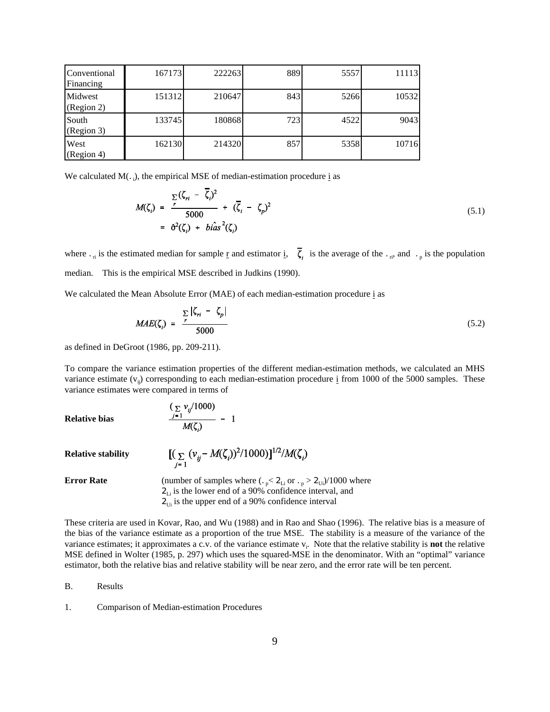| Conventional<br>Financing | 167173 | 222263 | 889 | 5557 | 11113 |
|---------------------------|--------|--------|-----|------|-------|
| Midwest<br>(Region 2)     | 151312 | 210647 | 843 | 5266 | 10532 |
| South<br>(Region 3)       | 133745 | 180868 | 723 | 4522 | 9043  |
| West<br>(Region 4)        | 162130 | 214320 | 857 | 5358 | 10716 |

We calculated  $M(.)$ , the empirical MSE of median-estimation procedure  $\underline{i}$  as

$$
M(\zeta_i) = \frac{\sum\limits_{r}(\zeta_{ri} - \zeta_i)^2}{5000} + (\overline{\zeta}_i - \zeta_p)^2
$$
  
=  $\partial^2(\zeta_i) + bias^2(\zeta_i)$  (5.1)

where  $\cdot$ <sub>ri</sub> is the estimated median for sample <u>r</u> and estimator i,  $\zeta$  is the average of the  $\cdot$ <sub>ri</sub>, and  $\cdot$ <sub>p</sub> is the population median. This is the empirical MSE described in Judkins (1990).

We calculated the Mean Absolute Error (MAE) of each median-estimation procedure i as

$$
MAE(\zeta_i) = \frac{\sum_{r} |\zeta_{ri} - \zeta_{p}|}{5000}
$$
 (5.2)

as defined in DeGroot (1986, pp. 209-211).

To compare the variance estimation properties of the different median-estimation methods, we calculated an MHS variance estimate  $(v_{ii})$  corresponding to each median-estimation procedure i from 1000 of the 5000 samples. These variance estimates were compared in terms of

**Relative bias**

$$
\frac{(\sum V_{ij}/1000)}{M(\zeta_i)}-1
$$

 $\overline{a}$ 

**Relative stability** 

 $[(\sum_{j=1} (v_{ij} - M(\zeta_i))^2/1000)]^{1/2}/M(\zeta_i)]$ 

**Error Rate** (number of samples where  $(.$ <sub>p</sub> $<$  2<sub>Li</sub> or  $.$ <sub>p</sub> $>$  2<sub>Ui</sub>)/1000 where  $2_{Li}$  is the lower end of a 90% confidence interval, and  $2_{U_i}$  is the upper end of a 90% confidence interval

These criteria are used in Kovar, Rao, and Wu (1988) and in Rao and Shao (1996). The relative bias is a measure of the bias of the variance estimate as a proportion of the true MSE. The stability is a measure of the variance of the variance estimates; it approximates a c.v. of the variance estimate v<sub>i</sub>. Note that the relative stability is **not** the relative MSE defined in Wolter (1985, p. 297) which uses the squared-MSE in the denominator. With an "optimal" variance estimator, both the relative bias and relative stability will be near zero, and the error rate will be ten percent.

B. Results

1. Comparison of Median-estimation Procedures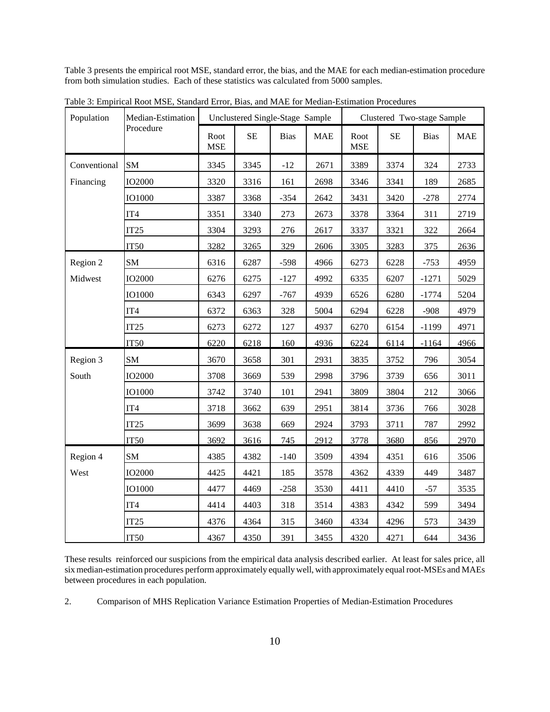Table 3 presents the empirical root MSE, standard error, the bias, and the MAE for each median-estimation procedure from both simulation studies. Each of these statistics was calculated from 5000 samples.

h

| Population   | Median-Estimation | Unclustered Single-Stage Sample |          |        | Clustered Two-stage Sample |                    |          |             |            |
|--------------|-------------------|---------------------------------|----------|--------|----------------------------|--------------------|----------|-------------|------------|
|              | Procedure         | Root<br><b>MSE</b>              | $\rm SE$ | Bias   | <b>MAE</b>                 | Root<br><b>MSE</b> | $\rm SE$ | <b>Bias</b> | <b>MAE</b> |
| Conventional | SM                | 3345                            | 3345     | $-12$  | 2671                       | 3389               | 3374     | 324         | 2733       |
| Financing    | <b>IO2000</b>     | 3320                            | 3316     | 161    | 2698                       | 3346               | 3341     | 189         | 2685       |
|              | <b>IO1000</b>     | 3387                            | 3368     | $-354$ | 2642                       | 3431               | 3420     | $-278$      | 2774       |
|              | IT <sub>4</sub>   | 3351                            | 3340     | 273    | 2673                       | 3378               | 3364     | 311         | 2719       |
|              | IT25              | 3304                            | 3293     | 276    | 2617                       | 3337               | 3321     | 322         | 2664       |
|              | IT50              | 3282                            | 3265     | 329    | 2606                       | 3305               | 3283     | 375         | 2636       |
| Region 2     | SM                | 6316                            | 6287     | $-598$ | 4966                       | 6273               | 6228     | $-753$      | 4959       |
| Midwest      | <b>IO2000</b>     | 6276                            | 6275     | $-127$ | 4992                       | 6335               | 6207     | $-1271$     | 5029       |
|              | <b>IO1000</b>     | 6343                            | 6297     | $-767$ | 4939                       | 6526               | 6280     | $-1774$     | 5204       |
|              | IT4               | 6372                            | 6363     | 328    | 5004                       | 6294               | 6228     | $-908$      | 4979       |
|              | IT25              | 6273                            | 6272     | 127    | 4937                       | 6270               | 6154     | $-1199$     | 4971       |
|              | <b>IT50</b>       | 6220                            | 6218     | 160    | 4936                       | 6224               | 6114     | $-1164$     | 4966       |
| Region 3     | SM                | 3670                            | 3658     | 301    | 2931                       | 3835               | 3752     | 796         | 3054       |
| South        | <b>IO2000</b>     | 3708                            | 3669     | 539    | 2998                       | 3796               | 3739     | 656         | 3011       |
|              | IO1000            | 3742                            | 3740     | 101    | 2941                       | 3809               | 3804     | 212         | 3066       |
|              | IT <sub>4</sub>   | 3718                            | 3662     | 639    | 2951                       | 3814               | 3736     | 766         | 3028       |
|              | IT25              | 3699                            | 3638     | 669    | 2924                       | 3793               | 3711     | 787         | 2992       |
|              | <b>IT50</b>       | 3692                            | 3616     | 745    | 2912                       | 3778               | 3680     | 856         | 2970       |
| Region 4     | SM                | 4385                            | 4382     | $-140$ | 3509                       | 4394               | 4351     | 616         | 3506       |
| West         | <b>IO2000</b>     | 4425                            | 4421     | 185    | 3578                       | 4362               | 4339     | 449         | 3487       |
|              | <b>IO1000</b>     | 4477                            | 4469     | $-258$ | 3530                       | 4411               | 4410     | $-57$       | 3535       |
|              | IT4               | 4414                            | 4403     | 318    | 3514                       | 4383               | 4342     | 599         | 3494       |
|              | IT <sub>25</sub>  | 4376                            | 4364     | 315    | 3460                       | 4334               | 4296     | 573         | 3439       |
|              | IT <sub>50</sub>  | 4367                            | 4350     | 391    | 3455                       | 4320               | 4271     | 644         | 3436       |

Table 3: Empirical Root MSE, Standard Error, Bias, and MAE for Median-Estimation Procedures

These results reinforced our suspicions from the empirical data analysis described earlier. At least for sales price, all six median-estimation procedures perform approximately equally well, with approximately equal root-MSEs and MAEs between procedures in each population.

2. Comparison of MHS Replication Variance Estimation Properties of Median-Estimation Procedures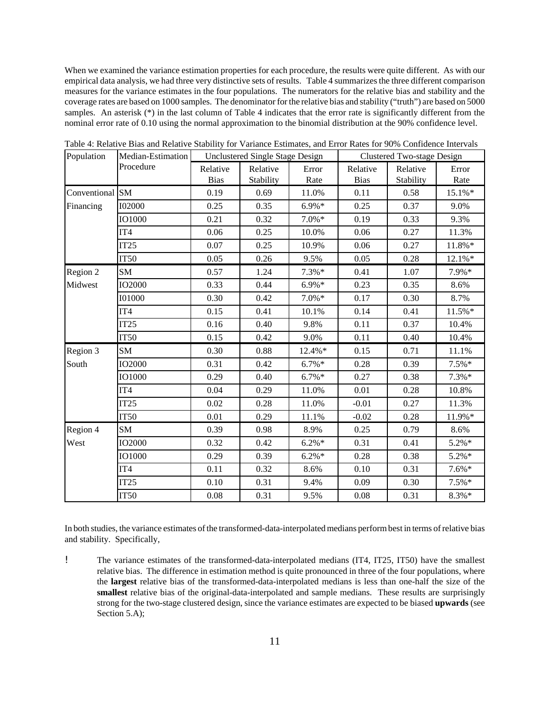When we examined the variance estimation properties for each procedure, the results were quite different. As with our empirical data analysis, we had three very distinctive sets of results. Table 4 summarizes the three different comparison measures for the variance estimates in the four populations. The numerators for the relative bias and stability and the coverage rates are based on 1000 samples. The denominator for the relative bias and stability ("truth") are based on 5000 samples. An asterisk (\*) in the last column of Table 4 indicates that the error rate is significantly different from the nominal error rate of 0.10 using the normal approximation to the binomial distribution at the 90% confidence level.

| Population      | Median-Estimation |                         | <b>Unclustered Single Stage Design</b> |               | Clustered Two-stage Design |                       |               |  |
|-----------------|-------------------|-------------------------|----------------------------------------|---------------|----------------------------|-----------------------|---------------|--|
|                 | Procedure         | Relative<br><b>Bias</b> | Relative<br>Stability                  | Error<br>Rate | Relative<br><b>Bias</b>    | Relative<br>Stability | Error<br>Rate |  |
| Conventional SM |                   | 0.19                    | 0.69                                   | 11.0%         | 0.11                       | 0.58                  | 15.1%*        |  |
| Financing       | <b>I02000</b>     | 0.25                    | 0.35                                   | $6.9\%*$      | 0.25                       | 0.37                  | 9.0%          |  |
|                 | <b>IO1000</b>     | 0.21                    | 0.32                                   | $7.0\%*$      | 0.19                       | 0.33                  | 9.3%          |  |
|                 | IT <sub>4</sub>   | 0.06                    | 0.25                                   | 10.0%         | 0.06                       | 0.27                  | 11.3%         |  |
|                 | IT25              | 0.07                    | 0.25                                   | 10.9%         | 0.06                       | 0.27                  | 11.8%*        |  |
|                 | <b>IT50</b>       | 0.05                    | 0.26                                   | 9.5%          | 0.05                       | 0.28                  | 12.1%*        |  |
| Region 2        | SM                | 0.57                    | 1.24                                   | $7.3\%*$      | 0.41                       | 1.07                  | 7.9%*         |  |
| Midwest         | <b>IO2000</b>     | 0.33                    | 0.44                                   | $6.9\%*$      | 0.23                       | 0.35                  | 8.6%          |  |
|                 | <b>I01000</b>     | 0.30                    | 0.42                                   | $7.0\%*$      | 0.17                       | 0.30                  | 8.7%          |  |
|                 | IT4               | 0.15                    | 0.41                                   | 10.1%         | 0.14                       | 0.41                  | 11.5%*        |  |
|                 | IT25              | 0.16                    | 0.40                                   | 9.8%          | 0.11                       | 0.37                  | 10.4%         |  |
|                 | <b>IT50</b>       | 0.15                    | 0.42                                   | 9.0%          | 0.11                       | 0.40                  | 10.4%         |  |
| Region 3        | SM                | 0.30                    | 0.88                                   | 12.4%*        | 0.15                       | 0.71                  | 11.1%         |  |
| South           | <b>IO2000</b>     | 0.31                    | 0.42                                   | $6.7\%*$      | 0.28                       | 0.39                  | $7.5\%*$      |  |
|                 | <b>IO1000</b>     | 0.29                    | 0.40                                   | $6.7\%*$      | 0.27                       | 0.38                  | $7.3\%*$      |  |
|                 | IT4               | 0.04                    | 0.29                                   | 11.0%         | 0.01                       | 0.28                  | 10.8%         |  |
|                 | IT25              | 0.02                    | 0.28                                   | 11.0%         | $-0.01$                    | 0.27                  | 11.3%         |  |
|                 | <b>IT50</b>       | $0.01\,$                | 0.29                                   | 11.1%         | $-0.02$                    | 0.28                  | 11.9%*        |  |
| Region 4        | SM                | 0.39                    | 0.98                                   | 8.9%          | 0.25                       | 0.79                  | 8.6%          |  |
| West            | <b>IO2000</b>     | 0.32                    | 0.42                                   | $6.2\%*$      | 0.31                       | 0.41                  | $5.2\%*$      |  |
|                 | <b>IO1000</b>     | 0.29                    | 0.39                                   | $6.2\%*$      | 0.28                       | 0.38                  | $5.2\%*$      |  |
|                 | IT <sub>4</sub>   | 0.11                    | 0.32                                   | 8.6%          | 0.10                       | 0.31                  | $7.6\%*$      |  |
|                 | IT25              | 0.10                    | 0.31                                   | 9.4%          | 0.09                       | 0.30                  | $7.5\%*$      |  |
|                 | <b>IT50</b>       | 0.08                    | 0.31                                   | 9.5%          | 0.08                       | 0.31                  | 8.3%*         |  |

Table 4: Relative Bias and Relative Stability for Variance Estimates, and Error Rates for 90% Confidence Intervals

In both studies, the variance estimates of the transformed-data-interpolated medians perform best in terms of relative bias and stability. Specifically,

! The variance estimates of the transformed-data-interpolated medians (IT4, IT25, IT50) have the smallest relative bias. The difference in estimation method is quite pronounced in three of the four populations, where the **largest** relative bias of the transformed-data-interpolated medians is less than one-half the size of the **smallest** relative bias of the original-data-interpolated and sample medians. These results are surprisingly strong for the two-stage clustered design, since the variance estimates are expected to be biased **upwards** (see Section 5.A);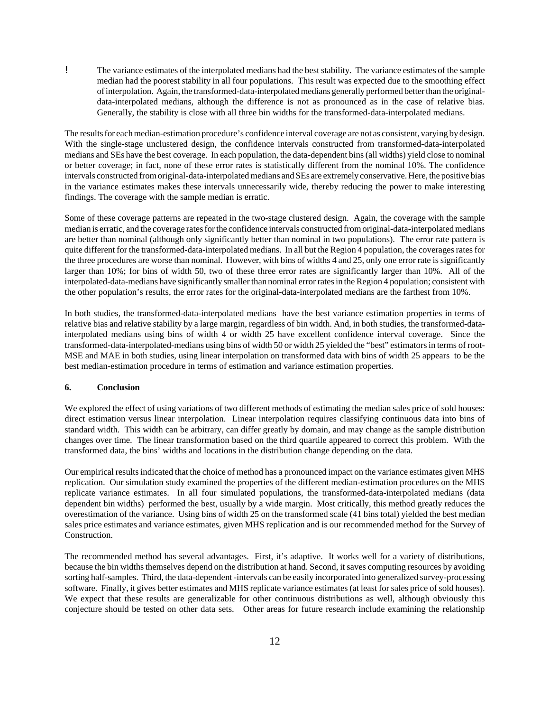! The variance estimates of the interpolated medians had the beststability. The variance estimates of the sample median had the poorest stability in all four populations. This result was expected due to the smoothing effect ofinterpolation. Again, the transformed-data-interpolated medians generally performed better than the originaldata-interpolated medians, although the difference is not as pronounced as in the case of relative bias. Generally, the stability is close with all three bin widths for the transformed-data-interpolated medians.

The results for each median-estimation procedure's confidence interval coverage are not as consistent, varying by design. With the single-stage unclustered design, the confidence intervals constructed from transformed-data-interpolated medians and SEs have the best coverage. In each population, the data-dependent bins (all widths) yield close to nominal or better coverage; in fact, none of these error rates is statistically different from the nominal 10%. The confidence intervals constructed fromoriginal-data-interpolatedmedians and SEs are extremely conservative. Here, the positive bias in the variance estimates makes these intervals unnecessarily wide, thereby reducing the power to make interesting findings. The coverage with the sample median is erratic.

Some of these coverage patterns are repeated in the two-stage clustered design. Again, the coverage with the sample median is erratic, and the coverage rates for the confidence intervals constructed from original-data-interpolated medians are better than nominal (although only significantly better than nominal in two populations). The error rate pattern is quite different for the transformed-data-interpolated medians. In all but the Region 4 population, the coverages rates for the three procedures are worse than nominal. However, with bins of widths 4 and 25, only one error rate is significantly larger than 10%; for bins of width 50, two of these three error rates are significantly larger than 10%. All of the interpolated-data-medians have significantly smaller than nominal error rates in the Region 4 population; consistent with the other population's results, the error rates for the original-data-interpolated medians are the farthest from 10%.

In both studies, the transformed-data-interpolated medians have the best variance estimation properties in terms of relative bias and relative stability by a large margin, regardless of bin width. And, in both studies, the transformed-datainterpolated medians using bins of width 4 or width 25 have excellent confidence interval coverage. Since the transformed-data-interpolated-medians using bins of width 50 or width 25 yielded the "best" estimatorsin terms of root-MSE and MAE in both studies, using linear interpolation on transformed data with bins of width 25 appears to be the best median-estimation procedure in terms of estimation and variance estimation properties.

### **6. Conclusion**

We explored the effect of using variations of two different methods of estimating the median sales price of sold houses: direct estimation versus linear interpolation. Linear interpolation requires classifying continuous data into bins of standard width. This width can be arbitrary, can differ greatly by domain, and may change as the sample distribution changes over time. The linear transformation based on the third quartile appeared to correct this problem. With the transformed data, the bins' widths and locations in the distribution change depending on the data.

Our empirical resultsindicated that the choice of method has a pronounced impact on the variance estimates given MHS replication. Our simulation study examined the properties of the different median-estimation procedures on the MHS replicate variance estimates. In all four simulated populations, the transformed-data-interpolated medians (data dependent bin widths) performed the best, usually by a wide margin. Most critically, this method greatly reduces the overestimation of the variance. Using bins of width 25 on the transformed scale (41 bins total) yielded the best median sales price estimates and variance estimates, given MHS replication and is our recommended method for the Survey of Construction.

The recommended method has several advantages. First, it's adaptive. It works well for a variety of distributions, because the bin widths themselves depend on the distribution at hand. Second, it saves computing resources by avoiding sorting half-samples. Third, the data-dependent -intervals can be easily incorporated into generalized survey-processing software. Finally, it gives better estimates and MHS replicate variance estimates (at least for sales price of sold houses). We expect that these results are generalizable for other continuous distributions as well, although obviously this conjecture should be tested on other data sets. Other areas for future research include examining the relationship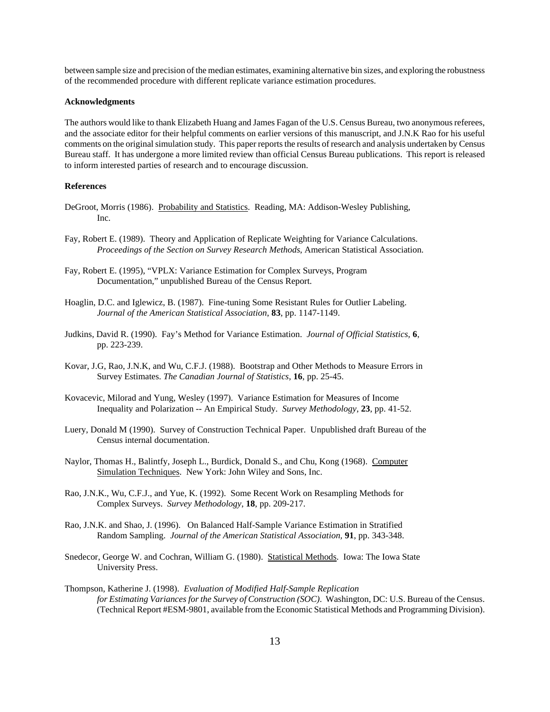between sample size and precision ofthe median estimates, examining alternative bin sizes, and exploring the robustness of the recommended procedure with different replicate variance estimation procedures.

### **Acknowledgments**

The authors would like to thank Elizabeth Huang and James Fagan of the U.S. Census Bureau, two anonymousreferees, and the associate editor for their helpful comments on earlier versions of this manuscript, and J.N.K Rao for his useful comments on the original simulation study. This paper reports the results of research and analysis undertaken by Census Bureau staff. It has undergone a more limited review than official Census Bureau publications. This report is released to inform interested parties of research and to encourage discussion.

### **References**

- DeGroot, Morris (1986). Probability and Statistics. Reading, MA: Addison-Wesley Publishing, Inc.
- Fay, Robert E. (1989). Theory and Application of Replicate Weighting for Variance Calculations. *Proceedings of the Section on Survey Research Methods*, American Statistical Association.
- Fay, Robert E. (1995), "VPLX: Variance Estimation for Complex Surveys, Program Documentation," unpublished Bureau of the Census Report.
- Hoaglin, D.C. and Iglewicz, B. (1987). Fine-tuning Some Resistant Rules for Outlier Labeling. *Journal of the American Statistical Association*, **83**, pp. 1147-1149.
- Judkins, David R. (1990). Fay's Method for Variance Estimation. *Journal of Official Statistics,* **6**, pp. 223-239.
- Kovar, J.G, Rao, J.N.K, and Wu, C.F.J. (1988). Bootstrap and Other Methods to Measure Errors in Survey Estimates. *The Canadian Journal of Statistics*, **16**, pp. 25-45.
- Kovacevic, Milorad and Yung, Wesley (1997). Variance Estimation for Measures of Income Inequality and Polarization -- An Empirical Study. *Survey Methodology*, **23**, pp. 41-52.
- Luery, Donald M (1990). Survey of Construction Technical Paper. Unpublished draft Bureau of the Census internal documentation.
- Naylor, Thomas H., Balintfy, Joseph L., Burdick, Donald S., and Chu, Kong (1968). Computer Simulation Techniques. New York: John Wiley and Sons, Inc.
- Rao, J.N.K., Wu, C.F.J., and Yue, K. (1992). Some Recent Work on Resampling Methods for Complex Surveys. *Survey Methodology*, **18**, pp. 209-217.
- Rao, J.N.K. and Shao, J. (1996). On Balanced Half-Sample Variance Estimation in Stratified Random Sampling. *Journal of the American Statistical Association,* **91**, pp. 343-348.
- Snedecor, George W. and Cochran, William G. (1980). Statistical Methods. Iowa: The Iowa State University Press.
- Thompson, Katherine J. (1998). *Evaluation of Modified Half-Sample Replication for Estimating Variances for the Survey of Construction (SOC)*. Washington, DC: U.S. Bureau of the Census. (Technical Report #ESM-9801, available from the Economic Statistical Methods and Programming Division).